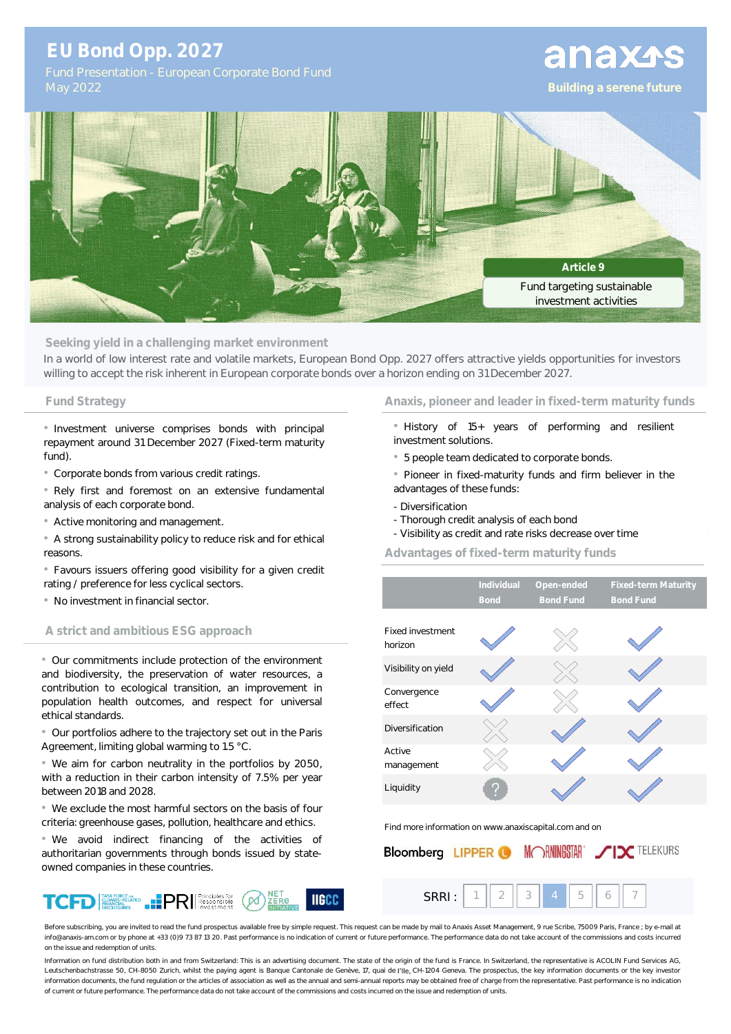## **EU Bond Opp. 2027**

# anaxas



**Seeking yield in a challenging market environment**

In a world of low interest rate and volatile markets, European Bond Opp. 2027 offers attractive yields opportunities for investors willing to accept the risk inherent in European corporate bonds over a horizon ending on 31 December 2027.

• Investment universe comprises bonds with principal repayment around 31 December 2027 (Fixed-term maturity fund).

• Corporate bonds from various credit ratings.

• Rely first and foremost on an extensive fundamental analysis of each corporate bond.

• Active monitoring and management.

• A strong sustainability policy to reduce risk and for ethical reasons.

• Favours issuers offering good visibility for a given credit rating / preference for less cyclical sectors.

• No investment in financial sector.

### **A strict and ambitious ESG approach**

• Our commitments include protection of the environment and biodiversity, the preservation of water resources, a contribution to ecological transition, an improvement in population health outcomes, and respect for universal ethical standards.

• Our portfolios adhere to the trajectory set out in the Paris Agreement, limiting global warming to 1.5 °C.

• We aim for carbon neutrality in the portfolios by 2050, with a reduction in their carbon intensity of 7.5% per year between 2018 and 2028.

• We exclude the most harmful sectors on the basis of four criteria: greenhouse gases, pollution, healthcare and ethics.

• We avoid indirect financing of the activities of authoritarian governments through bonds issued by stateowned companies in these countries.



#### **Fund Strategy Anaxis, pioneer and leader in fixed-term maturity funds**

- History of 15+ years of performing and resilient investment solutions.
- 5 people team dedicated to corporate bonds.
- Pioneer in fixed-maturity funds and firm believer in the advantages of these funds:
- Diversification
- Thorough credit analysis of each bond
- Visibility as credit and rate risks decrease over time

### **Advantages of fixed-term maturity funds**

|                             | Individual<br><b>Bond</b> | Open-ended<br><b>Bond Fund</b> | <b>Fixed-term Maturity</b><br><b>Bond Fund</b> |  |  |  |
|-----------------------------|---------------------------|--------------------------------|------------------------------------------------|--|--|--|
|                             |                           |                                |                                                |  |  |  |
| Fixed investment<br>horizon |                           |                                |                                                |  |  |  |
| Visibility on yield         |                           |                                |                                                |  |  |  |
| Convergence<br>effect       |                           |                                |                                                |  |  |  |
| Diversification             |                           |                                |                                                |  |  |  |
| Active<br>management        |                           |                                |                                                |  |  |  |
| Liquidity                   | V.                        |                                |                                                |  |  |  |

Find more information on www.anaxiscapital.com and on

| <b>Bloomberg LIPPER O MORNINGSTAR</b> //IX TELEKURS |  |  |  |  |  |
|-----------------------------------------------------|--|--|--|--|--|
|                                                     |  |  |  |  |  |

Before subscribing, you are invited to read the fund prospectus available free by simple request. This request can be made by mail to Anaxis Asset Management, 9 rue Scribe, 75009 Paris, France ; by e-mail at info@anaxis-am.com or by phone at +33 (0)9 73 87 13 20. Past performance is no indication of current or future performance. The performance data do not take account of the commissions and costs incurred on the issue and redemption of units.

Information on fund distribution both in and from Switzerland: This is an advertising document. The state of the origin of the fund is France. In Switzerland, the representative is ACOLIN Fund Services AG, Leutschenbachstrasse 50, CH-8050 Zurich, whilst the paying agent is Banque Cantonale de Genève, 17, quai de l'lle, CH-1204 Geneva. The prospectus, the key information documents or the key investor information documents, the fund regulation or the articles of association as well as the annual and semi-annual reports may be obtained free of charge from the representative. Past performance is no indication of current or future performance. The performance data do not take account of the commissions and costs incurred on the issue and redemption of units.